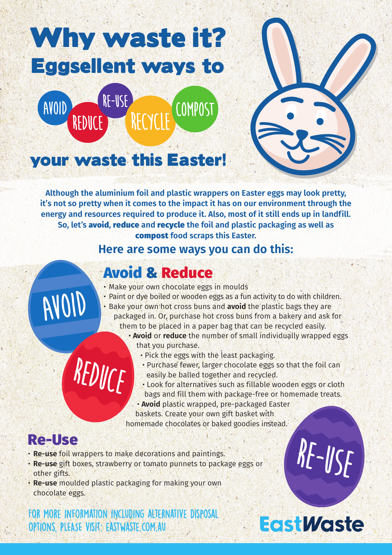## Why waste it? Eggsellent ways to





### your waste this Easter!

**Although the aluminium foil and plastic wrappers on Easter eggs may look pretty, it's not so pretty when it comes to the impact it has on our environment through the energy and resources required to produce it. Also, most of it still ends up in landfill. So, let's** avoid**,** reduce **and** recycle **the foil and plastic packaging as well as**  compost **food scraps this Easter.**

#### **Here are some ways you can do this:**

### Avoid & Reduce

- Make your own chocolate eggs in moulds
- Paint or dye boiled or wooden eggs as a fun activity to do with children.
- Bake your own hot cross buns and **avoid** the plastic bags they are packaged in. Or, purchase hot cross buns from a bakery and ask for them to be placed in a paper bag that can be recycled easily.
	- **Avoid** or **reduce** the number of small individually wrapped eggs that you purchase.
		- Pick the eggs with the least packaging.
		- Purchase fewer, larger chocolate eggs so that the foil can easily be balled together and recycled.
		- Look for alternatives such as fillable wooden eggs or cloth bags and fill them with package-free or homemade treats.

• **Avoid** plastic wrapped, pre-packaged Easter baskets. Create your own gift basket with homemade chocolates or baked goodies instead.

#### Re-Use

AVOID

• **Re-use** foil wrappers to make decorations and paintings.

REDUCE

- **Re-use** gift boxes, strawberry or tomato punnets to package eggs or other gifts.
- **Re-use** moulded plastic packaging for making your own chocolate eggs.

For more information including alternative disposal options, PLEASE visit: eastwaste.com.au

### **EastWaste**

 $Rf$ - $l/sf$